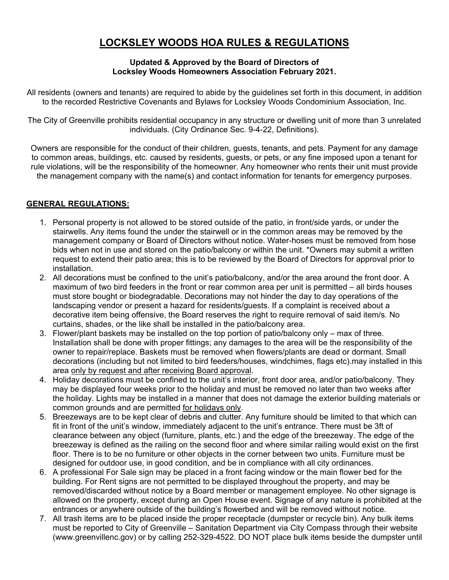# **LOCKSLEY WOODS HOA RULES & REGULATIONS**

#### **Updated & Approved by the Board of Directors of Locksley Woods Homeowners Association February 2021.**

All residents (owners and tenants) are required to abide by the guidelines set forth in this document, in addition to the recorded Restrictive Covenants and Bylaws for Locksley Woods Condominium Association, Inc.

The City of Greenville prohibits residential occupancy in any structure or dwelling unit of more than 3 unrelated individuals. (City Ordinance Sec. 9-4-22, Definitions).

Owners are responsible for the conduct of their children, guests, tenants, and pets. Payment for any damage to common areas, buildings, etc. caused by residents, guests, or pets, or any fine imposed upon a tenant for rule violations, will be the responsibility of the homeowner. Any homeowner who rents their unit must provide the management company with the name(s) and contact information for tenants for emergency purposes.

### **GENERAL REGULATIONS:**

- 1. Personal property is not allowed to be stored outside of the patio, in front/side yards, or under the stairwells. Any items found the under the stairwell or in the common areas may be removed by the management company or Board of Directors without notice. Water-hoses must be removed from hose bids when not in use and stored on the patio/balcony or within the unit. \*Owners may submit a written request to extend their patio area; this is to be reviewed by the Board of Directors for approval prior to installation.
- 2. All decorations must be confined to the unit's patio/balcony, and/or the area around the front door. A maximum of two bird feeders in the front or rear common area per unit is permitted – all birds houses must store bought or biodegradable. Decorations may not hinder the day to day operations of the landscaping vendor or present a hazard for residents/guests. If a complaint is received about a decorative item being offensive, the Board reserves the right to require removal of said item/s. No curtains, shades, or the like shall be installed in the patio/balcony area.
- 3. Flower/plant baskets may be installed on the top portion of patio/balcony only max of three. Installation shall be done with proper fittings; any damages to the area will be the responsibility of the owner to repair/replace. Baskets must be removed when flowers/plants are dead or dormant. Small decorations (including but not limited to bird feeders/houses, windchimes, flags etc).may installed in this area only by request and after receiving Board approval.
- 4. Holiday decorations must be confined to the unit's interior, front door area, and/or patio/balcony. They may be displayed four weeks prior to the holiday and must be removed no later than two weeks after the holiday. Lights may be installed in a manner that does not damage the exterior building materials or common grounds and are permitted for holidays only.
- 5. Breezeways are to be kept clear of debris and clutter. Any furniture should be limited to that which can fit in front of the unit's window, immediately adjacent to the unit's entrance. There must be 3ft of clearance between any object (furniture, plants, etc.) and the edge of the breezeway. The edge of the breezeway is defined as the railing on the second floor and where similar railing would exist on the first floor. There is to be no furniture or other objects in the corner between two units. Furniture must be designed for outdoor use, in good condition, and be in compliance with all city ordinances.
- 6. A professional For Sale sign may be placed in a front facing window or the main flower bed for the building. For Rent signs are not permitted to be displayed throughout the property, and may be removed/discarded without notice by a Board member or management employee. No other signage is allowed on the property, except during an Open House event. Signage of any nature is prohibited at the entrances or anywhere outside of the building's flowerbed and will be removed without notice.
- 7. All trash items are to be placed inside the proper receptacle (dumpster or recycle bin). Any bulk items must be reported to City of Greenville – Sanitation Department via City Compass through their website (www.greenvillenc.gov) or by calling 252-329-4522. DO NOT place bulk items beside the dumpster until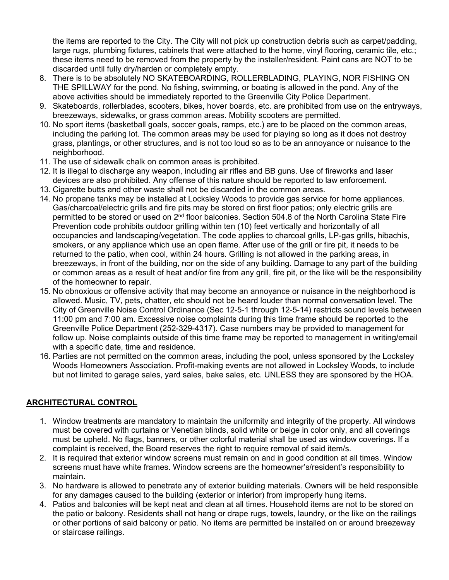the items are reported to the City. The City will not pick up construction debris such as carpet/padding, large rugs, plumbing fixtures, cabinets that were attached to the home, vinyl flooring, ceramic tile, etc.; these items need to be removed from the property by the installer/resident. Paint cans are NOT to be discarded until fully dry/harden or completely empty.

- 8. There is to be absolutely NO SKATEBOARDING, ROLLERBLADING, PLAYING, NOR FISHING ON THE SPILLWAY for the pond. No fishing, swimming, or boating is allowed in the pond. Any of the above activities should be immediately reported to the Greenville City Police Department.
- 9. Skateboards, rollerblades, scooters, bikes, hover boards, etc. are prohibited from use on the entryways, breezeways, sidewalks, or grass common areas. Mobility scooters are permitted.
- 10. No sport items (basketball goals, soccer goals, ramps, etc.) are to be placed on the common areas, including the parking lot. The common areas may be used for playing so long as it does not destroy grass, plantings, or other structures, and is not too loud so as to be an annoyance or nuisance to the neighborhood.
- 11. The use of sidewalk chalk on common areas is prohibited.
- 12. It is illegal to discharge any weapon, including air rifles and BB guns. Use of fireworks and laser devices are also prohibited. Any offense of this nature should be reported to law enforcement.
- 13. Cigarette butts and other waste shall not be discarded in the common areas.
- 14. No propane tanks may be installed at Locksley Woods to provide gas service for home appliances. Gas/charcoal/electric grills and fire pits may be stored on first floor patios; only electric grills are permitted to be stored or used on 2<sup>nd</sup> floor balconies. Section 504.8 of the North Carolina State Fire Prevention code prohibits outdoor grilling within ten (10) feet vertically and horizontally of all occupancies and landscaping/vegetation. The code applies to charcoal grills, LP-gas grills, hibachis, smokers, or any appliance which use an open flame. After use of the grill or fire pit, it needs to be returned to the patio, when cool, within 24 hours. Grilling is not allowed in the parking areas, in breezeways, in front of the building, nor on the side of any building. Damage to any part of the building or common areas as a result of heat and/or fire from any grill, fire pit, or the like will be the responsibility of the homeowner to repair.
- 15. No obnoxious or offensive activity that may become an annoyance or nuisance in the neighborhood is allowed. Music, TV, pets, chatter, etc should not be heard louder than normal conversation level. The City of Greenville Noise Control Ordinance (Sec 12-5-1 through 12-5-14) restricts sound levels between 11:00 pm and 7:00 am. Excessive noise complaints during this time frame should be reported to the Greenville Police Department (252-329-4317). Case numbers may be provided to management for follow up. Noise complaints outside of this time frame may be reported to management in writing/email with a specific date, time and residence.
- 16. Parties are not permitted on the common areas, including the pool, unless sponsored by the Locksley Woods Homeowners Association. Profit-making events are not allowed in Locksley Woods, to include but not limited to garage sales, yard sales, bake sales, etc. UNLESS they are sponsored by the HOA.

## **ARCHITECTURAL CONTROL**

- 1. Window treatments are mandatory to maintain the uniformity and integrity of the property. All windows must be covered with curtains or Venetian blinds, solid white or beige in color only, and all coverings must be upheld. No flags, banners, or other colorful material shall be used as window coverings. If a complaint is received, the Board reserves the right to require removal of said item/s.
- 2. It is required that exterior window screens must remain on and in good condition at all times. Window screens must have white frames. Window screens are the homeowner's/resident's responsibility to maintain.
- 3. No hardware is allowed to penetrate any of exterior building materials. Owners will be held responsible for any damages caused to the building (exterior or interior) from improperly hung items.
- 4. Patios and balconies will be kept neat and clean at all times. Household items are not to be stored on the patio or balcony. Residents shall not hang or drape rugs, towels, laundry, or the like on the railings or other portions of said balcony or patio. No items are permitted be installed on or around breezeway or staircase railings.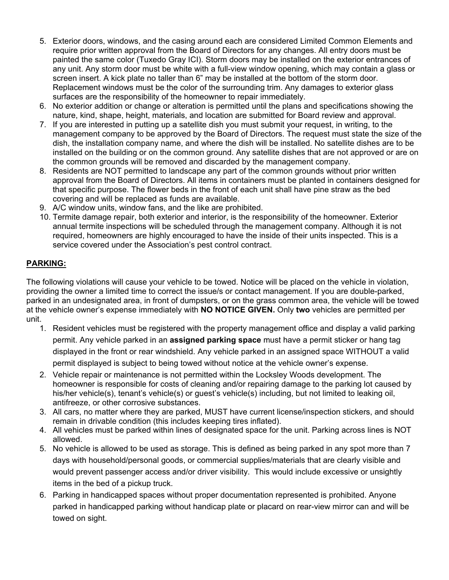- 5. Exterior doors, windows, and the casing around each are considered Limited Common Elements and require prior written approval from the Board of Directors for any changes. All entry doors must be painted the same color (Tuxedo Gray ICI). Storm doors may be installed on the exterior entrances of any unit. Any storm door must be white with a full-view window opening, which may contain a glass or screen insert. A kick plate no taller than 6" may be installed at the bottom of the storm door. Replacement windows must be the color of the surrounding trim. Any damages to exterior glass surfaces are the responsibility of the homeowner to repair immediately.
- 6. No exterior addition or change or alteration is permitted until the plans and specifications showing the nature, kind, shape, height, materials, and location are submitted for Board review and approval.
- 7. If you are interested in putting up a satellite dish you must submit your request, in writing, to the management company to be approved by the Board of Directors. The request must state the size of the dish, the installation company name, and where the dish will be installed. No satellite dishes are to be installed on the building or on the common ground. Any satellite dishes that are not approved or are on the common grounds will be removed and discarded by the management company.
- 8. Residents are NOT permitted to landscape any part of the common grounds without prior written approval from the Board of Directors. All items in containers must be planted in containers designed for that specific purpose. The flower beds in the front of each unit shall have pine straw as the bed covering and will be replaced as funds are available.
- 9. A/C window units, window fans, and the like are prohibited.
- 10. Termite damage repair, both exterior and interior, is the responsibility of the homeowner. Exterior annual termite inspections will be scheduled through the management company. Although it is not required, homeowners are highly encouraged to have the inside of their units inspected. This is a service covered under the Association's pest control contract.

### **PARKING:**

The following violations will cause your vehicle to be towed. Notice will be placed on the vehicle in violation, providing the owner a limited time to correct the issue/s or contact management. If you are double-parked, parked in an undesignated area, in front of dumpsters, or on the grass common area, the vehicle will be towed at the vehicle owner's expense immediately with **NO NOTICE GIVEN.** Only **two** vehicles are permitted per unit.

- 1. Resident vehicles must be registered with the property management office and display a valid parking permit. Any vehicle parked in an **assigned parking space** must have a permit sticker or hang tag displayed in the front or rear windshield. Any vehicle parked in an assigned space WITHOUT a valid permit displayed is subject to being towed without notice at the vehicle owner's expense.
- 2. Vehicle repair or maintenance is not permitted within the Locksley Woods development. The homeowner is responsible for costs of cleaning and/or repairing damage to the parking lot caused by his/her vehicle(s), tenant's vehicle(s) or guest's vehicle(s) including, but not limited to leaking oil, antifreeze, or other corrosive substances.
- 3. All cars, no matter where they are parked, MUST have current license/inspection stickers, and should remain in drivable condition (this includes keeping tires inflated).
- 4. All vehicles must be parked within lines of designated space for the unit. Parking across lines is NOT allowed.
- 5. No vehicle is allowed to be used as storage. This is defined as being parked in any spot more than 7 days with household/personal goods, or commercial supplies/materials that are clearly visible and would prevent passenger access and/or driver visibility. This would include excessive or unsightly items in the bed of a pickup truck.
- 6. Parking in handicapped spaces without proper documentation represented is prohibited. Anyone parked in handicapped parking without handicap plate or placard on rear-view mirror can and will be towed on sight.